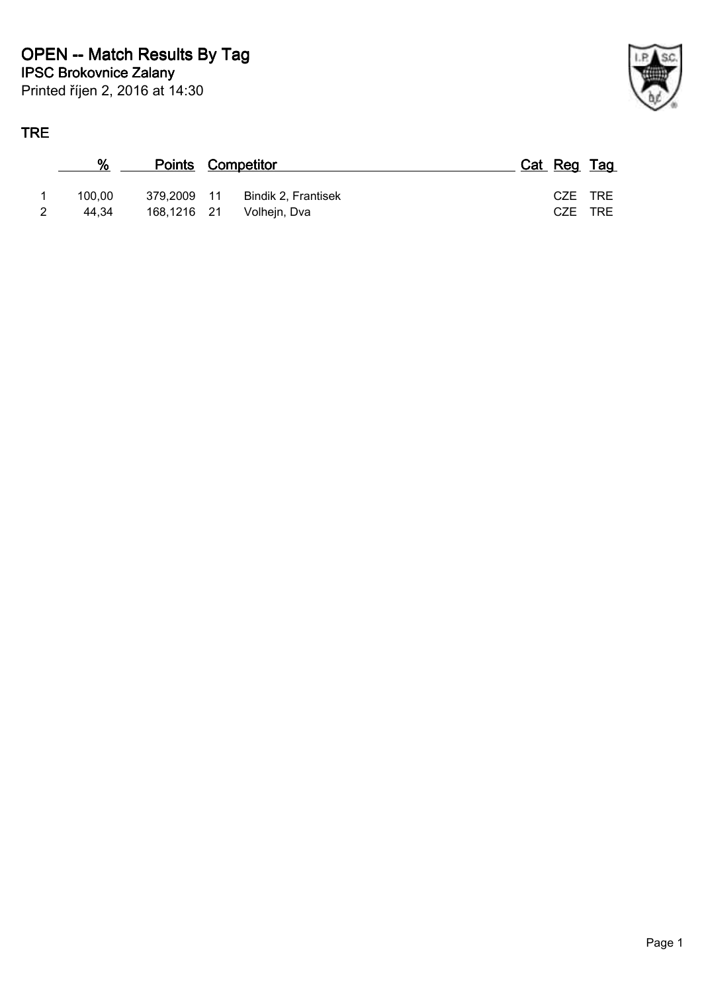#### **TRE**

| Έ |        |                          |                     |  |             |      |
|---|--------|--------------------------|---------------------|--|-------------|------|
|   | %      | <b>Points Competitor</b> |                     |  | Cat Reg Tag |      |
| 1 | 100.00 | 379,2009 11              | Bindik 2, Frantisek |  | CZE TRE     |      |
| 2 | 44,34  | 168,1216 21              | Volhejn, Dva        |  | CZE         | TRE. |

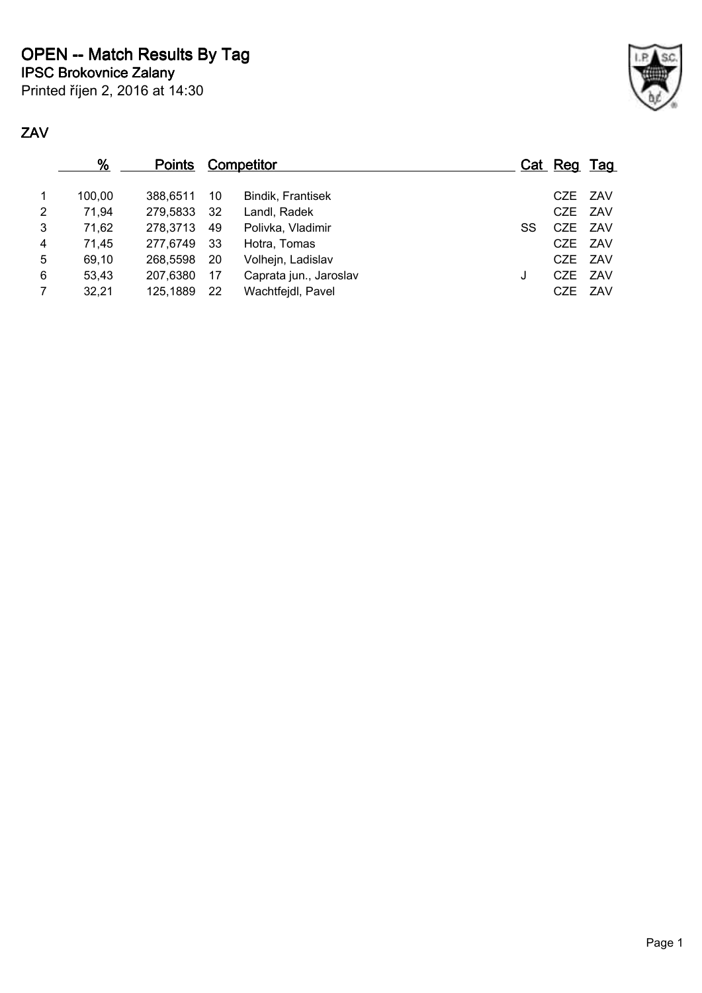**IPSC Brokovnice Zalany OPEN -- Match Results By Tag**

Printed říjen 2, 2016 at 14:30

### **ZAV**

|                | <u>%</u> | <b>Points</b> |     | <b>Competitor</b>      |    | Cat Reg Tag |         |
|----------------|----------|---------------|-----|------------------------|----|-------------|---------|
| $\mathbf 1$    | 100.00   | 388.6511      | 10  | Bindik, Frantisek      |    |             | CZE ZAV |
| $\overline{2}$ | 71,94    | 279,5833      | -32 | Landl, Radek           |    |             | CZE ZAV |
| 3              | 71,62    | 278,3713      | 49  | Polivka, Vladimir      | SS |             | CZE ZAV |
| 4              | 71,45    | 277.6749      | -33 | Hotra, Tomas           |    |             | CZE ZAV |
| 5              | 69,10    | 268,5598      | -20 | Volhejn, Ladislav      |    |             | CZE ZAV |
| 6              | 53,43    | 207.6380      | -17 | Caprata jun., Jaroslav | J  |             | CZE ZAV |
| $\overline{7}$ | 32,21    | 125,1889      | -22 | Wachtfejdl, Pavel      |    |             | CZE ZAV |
|                |          |               |     |                        |    |             |         |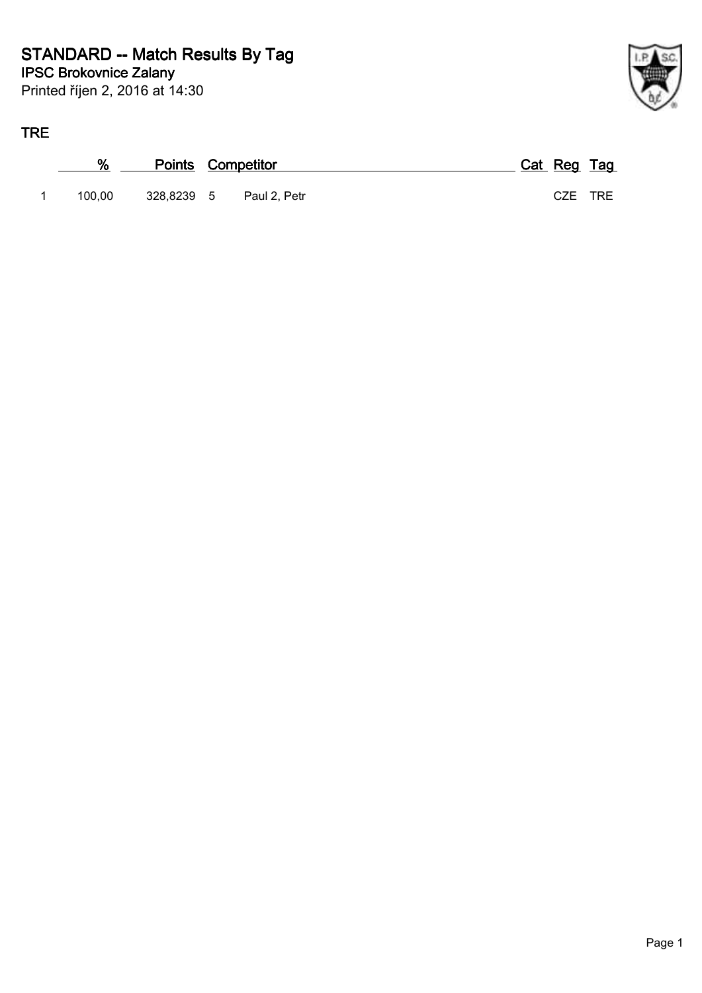

### **TRE**

| ℅      | <b>Points Competitor</b> |              | Cat Reg Tag |  |
|--------|--------------------------|--------------|-------------|--|
| 100.00 | 328.8239 5               | Paul 2, Petr | CZE TRE     |  |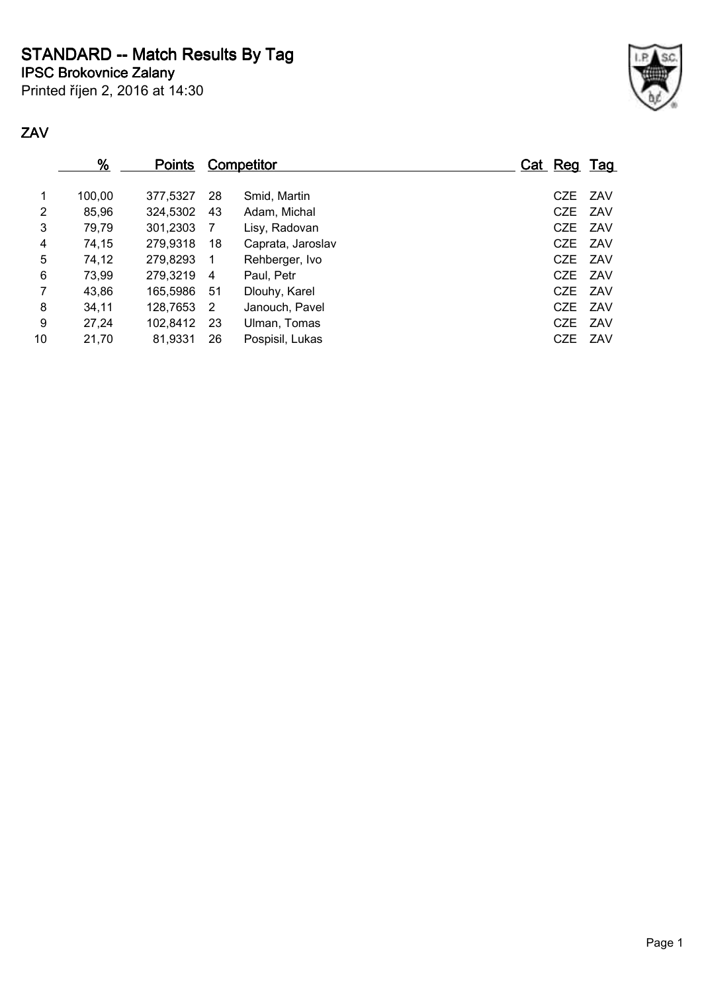**STANDARD -- Match Results By Tag**

**IPSC Brokovnice Zalany**

Printed říjen 2, 2016 at 14:30



#### **ZAV**

|    | $\frac{9}{6}$ | <u>Points</u> |    | <b>Competitor</b> | Cat Reg Tag |     |
|----|---------------|---------------|----|-------------------|-------------|-----|
| 1  | 100,00        | 377.5327      | 28 | Smid, Martin      | CZE ZAV     |     |
| 2  | 85,96         | 324,5302      | 43 | Adam, Michal      | CZE ZAV     |     |
| 3  | 79,79         | 301,2303      | -7 | Lisy, Radovan     | CZE ZAV     |     |
| 4  | 74,15         | 279,9318      | 18 | Caprata, Jaroslav | CZE ZAV     |     |
| 5  | 74,12         | 279,8293      | -1 | Rehberger, Ivo    | CZE ZAV     |     |
| 6  | 73,99         | 279,3219      | 4  | Paul, Petr        | CZE ZAV     |     |
| 7  | 43,86         | 165.5986      | 51 | Dlouhy, Karel     | CZE ZAV     |     |
| 8  | 34,11         | 128,7653      | -2 | Janouch, Pavel    | CZE ZAV     |     |
| 9  | 27,24         | 102,8412      | 23 | Ulman, Tomas      | CZE         | ZAV |
| 10 | 21,70         | 81,9331       | 26 | Pospisil, Lukas   | <b>CZE</b>  | ZAV |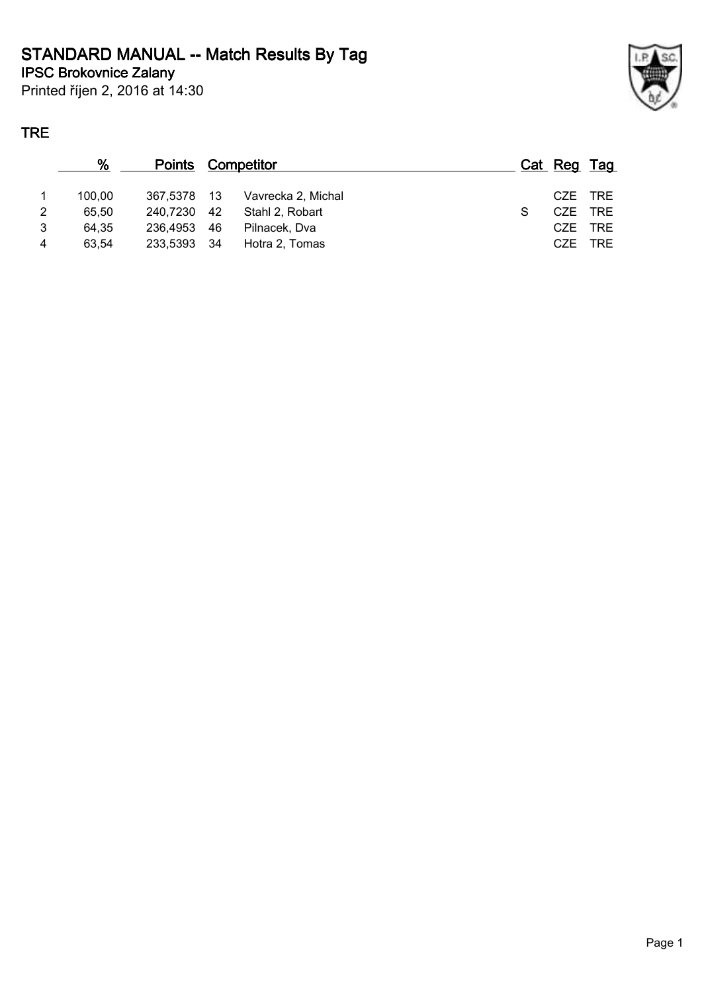#### **IPSC Brokovnice Zalany STANDARD MANUAL -- Match Results By Tag**

Printed říjen 2, 2016 at 14:30

## **TRE**

|    | %      | <b>Points Competitor</b> |                    | Cat Reg Tag |            |
|----|--------|--------------------------|--------------------|-------------|------------|
|    | 100.00 | 367.5378 13              | Vavrecka 2, Michal |             | CZE TRE    |
| 2. | 65.50  | 240.7230 42              | Stahl 2. Robart    |             | CZE TRE    |
| 3  | 64.35  | 236.4953 46              | Pilnacek, Dva      | CZE         | TRE        |
| 4  | 63.54  | 233,5393 34              | Hotra 2, Tomas     | CZE.        | <b>TRE</b> |
|    |        |                          |                    |             |            |